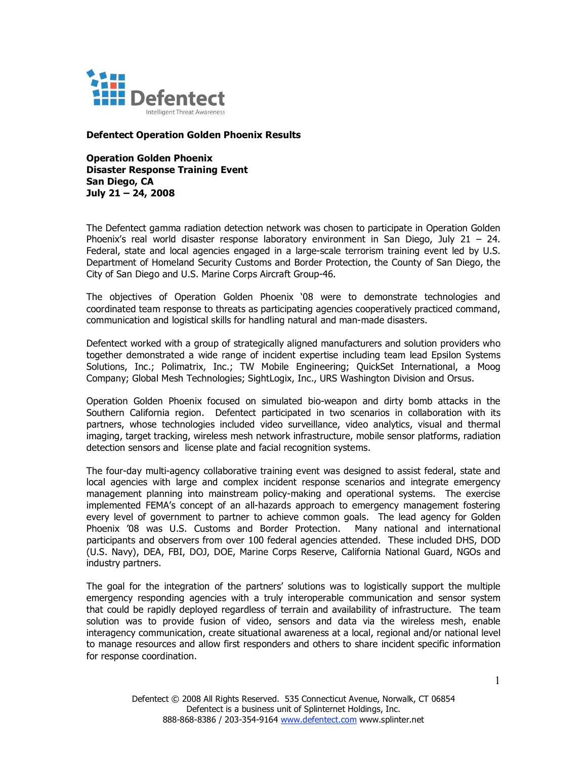

**Defentect Operation Golden Phoenix Results**

**Operation Golden Phoenix Disaster Response Training Event San Diego, CA July 21 – 24, 2008**

The Defentect gamma radiation detection network was chosen to participate in Operation Golden Phoenix's real world disaster response laboratory environment in San Diego, July 21 - 24. Federal, state and local agencies engaged in a large-scale terrorism training event led by U.S. Department of Homeland Security Customs and Border Protection, the County of San Diego, the City of San Diego and U.S. Marine Corps Aircraft Group-46.

The objectives of Operation Golden Phoenix '08 were to demonstrate technologies and coordinated team response to threats as participating agencies cooperatively practiced command, communication and logistical skills for handling natural and man-made disasters.

Defentect worked with a group of strategically aligned manufacturers and solution providers who together demonstrated a wide range of incident expertise including team lead Epsilon Systems Solutions, Inc.; Polimatrix, Inc.; TW Mobile Engineering; QuickSet International, a Moog Company; Global Mesh Technologies; SightLogix, Inc., URS Washington Division and Orsus.

Operation Golden Phoenix focused on simulated bio-weapon and dirty bomb attacks in the Southern California region. Defentect participated in two scenarios in collaboration with its partners, whose technologies included video surveillance, video analytics, visual and thermal imaging, target tracking, wireless mesh network infrastructure, mobile sensor platforms, radiation detection sensors and license plate and facial recognition systems.

The four-day multi-agency collaborative training event was designed to assist federal, state and local agencies with large and complex incident response scenarios and integrate emergency management planning into mainstream policy-making and operational systems. The exercise implemented FEMA's concept of an all-hazards approach to emergency management fostering every level of government to partner to achieve common goals. The lead agency for Golden Phoenix '08 was U.S. Customs and Border Protection. Many national and international participants and observers from over 100 federal agencies attended. These included DHS, DOD (U.S. Navy), DEA, FBI, DOJ, DOE, Marine Corps Reserve, California National Guard, NGOs and industry partners.

The goal for the integration of the partners' solutions was to logistically support the multiple emergency responding agencies with a truly interoperable communication and sensor system that could be rapidly deployed regardless of terrain and availability of infrastructure. The team solution was to provide fusion of video, sensors and data via the wireless mesh, enable interagency communication, create situational awareness at a local, regional and/or national level to manage resources and allow first responders and others to share incident specific information for response coordination.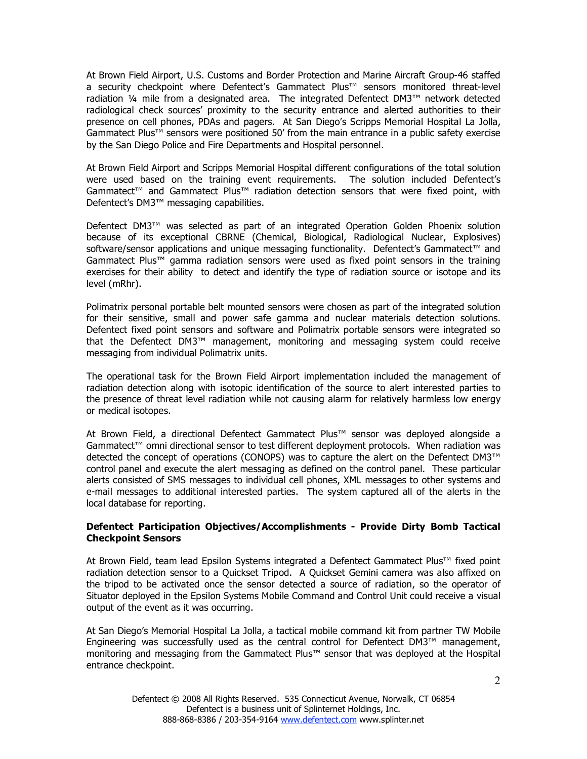At Brown Field Airport, U.S. Customs and Border Protection and Marine Aircraft Group-46 staffed a security checkpoint where Defentect's Gammatect Plus™ sensors monitored threat-level radiation ¼ mile from a designated area. The integrated Defentect DM3™ network detected radiological check sources' proximity to the security entrance and alerted authorities to their presence on cell phones, PDAs and pagers. At San Diego's Scripps Memorial Hospital La Jolla, Gammatect Plus™ sensors were positioned 50' from the main entrance in a public safety exercise by the San Diego Police and Fire Departments and Hospital personnel.

At Brown Field Airport and Scripps Memorial Hospital different configurations of the total solution were used based on the training event requirements. The solution included Defentect's Gammatect™ and Gammatect Plus™ radiation detection sensors that were fixed point, with Defentect's DM3™ messaging capabilities.

Defentect DM3™ was selected as part of an integrated Operation Golden Phoenix solution because of its exceptional CBRNE (Chemical, Biological, Radiological Nuclear, Explosives) software/sensor applications and unique messaging functionality. Defentect's Gammatect™ and Gammatect Plus™ gamma radiation sensors were used as fixed point sensors in the training exercises for their ability to detect and identify the type of radiation source or isotope and its level (mRhr).

Polimatrix personal portable belt mounted sensors were chosen as part of the integrated solution for their sensitive, small and power safe gamma and nuclear materials detection solutions. Defentect fixed point sensors and software and Polimatrix portable sensors were integrated so that the Defentect DM3™ management, monitoring and messaging system could receive messaging from individual Polimatrix units.

The operational task for the Brown Field Airport implementation included the management of radiation detection along with isotopic identification of the source to alert interested parties to the presence of threat level radiation while not causing alarm for relatively harmless low energy or medical isotopes.

At Brown Field, a directional Defentect Gammatect Plus™ sensor was deployed alongside a Gammatect™ omni directional sensor to test different deployment protocols. When radiation was detected the concept of operations (CONOPS) was to capture the alert on the Defentect DM3™ control panel and execute the alert messaging as defined on the control panel. These particular alerts consisted of SMS messages to individual cell phones, XML messages to other systems and e-mail messages to additional interested parties. The system captured all of the alerts in the local database for reporting.

## **Defentect Participation Objectives/Accomplishments - Provide Dirty Bomb Tactical Checkpoint Sensors**

At Brown Field, team lead Epsilon Systems integrated a Defentect Gammatect Plus™ fixed point radiation detection sensor to a Quickset Tripod. A Quickset Gemini camera was also affixed on the tripod to be activated once the sensor detected a source of radiation, so the operator of Situator deployed in the Epsilon Systems Mobile Command and Control Unit could receive a visual output of the event as it was occurring.

At San Diego's Memorial Hospital La Jolla, a tactical mobile command kit from partner TW Mobile Engineering was successfully used as the central control for Defentect DM3™ management, monitoring and messaging from the Gammatect Plus™ sensor that was deployed at the Hospital entrance checkpoint.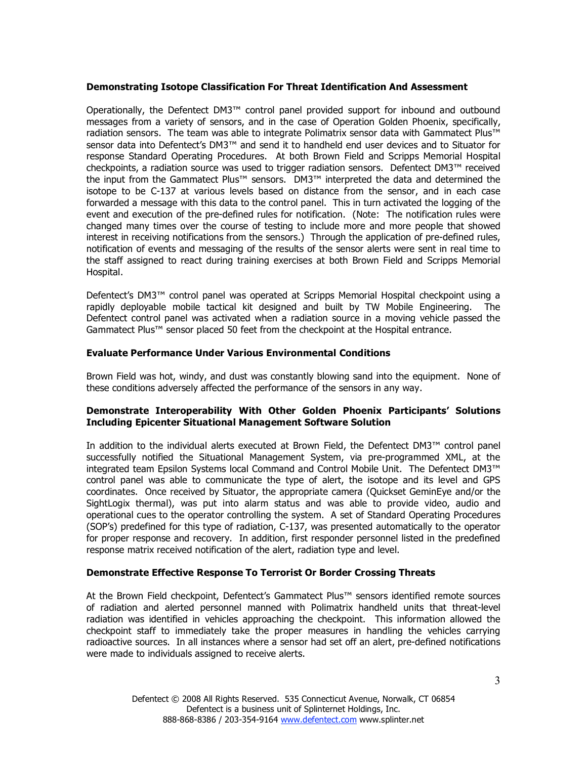#### **Demonstrating Isotope Classification For Threat Identification And Assessment**

Operationally, the Defentect DM3™ control panel provided support for inbound and outbound messages from a variety of sensors, and in the case of Operation Golden Phoenix, specifically, radiation sensors. The team was able to integrate Polimatrix sensor data with Gammatect Plus™ sensor data into Defentect's DM3™ and send it to handheld end user devices and to Situator for response Standard Operating Procedures. At both Brown Field and Scripps Memorial Hospital checkpoints, a radiation source was used to trigger radiation sensors. Defentect DM3™ received the input from the Gammatect Plus™ sensors. DM3™ interpreted the data and determined the isotope to be C-137 at various levels based on distance from the sensor, and in each case forwarded a message with this data to the control panel. This in turn activated the logging of the event and execution of the pre-defined rules for notification. (Note: The notification rules were changed many times over the course of testing to include more and more people that showed interest in receiving notifications from the sensors.) Through the application of pre-defined rules, notification of events and messaging of the results of the sensor alerts were sent in real time to the staff assigned to react during training exercises at both Brown Field and Scripps Memorial Hospital.

Defentect's DM3™ control panel was operated at Scripps Memorial Hospital checkpoint using a rapidly deployable mobile tactical kit designed and built by TW Mobile Engineering. The Defentect control panel was activated when a radiation source in a moving vehicle passed the Gammatect Plus™ sensor placed 50 feet from the checkpoint at the Hospital entrance.

#### **Evaluate Performance Under Various Environmental Conditions**

Brown Field was hot, windy, and dust was constantly blowing sand into the equipment. None of these conditions adversely affected the performance of the sensors in any way.

## **Demonstrate Interoperability With Other Golden Phoenix Participants' Solutions Including Epicenter Situational Management Software Solution**

In addition to the individual alerts executed at Brown Field, the Defentect DM3™ control panel successfully notified the Situational Management System, via pre-programmed XML, at the integrated team Epsilon Systems local Command and Control Mobile Unit. The Defentect DM3™ control panel was able to communicate the type of alert, the isotope and its level and GPS coordinates. Once received by Situator, the appropriate camera (Quickset GeminEye and/or the SightLogix thermal), was put into alarm status and was able to provide video, audio and operational cues to the operator controlling the system. A set of Standard Operating Procedures (SOP's) predefined for this type of radiation, C-137, was presented automatically to the operator for proper response and recovery. In addition, first responder personnel listed in the predefined response matrix received notification of the alert, radiation type and level.

## **Demonstrate Effective Response To Terrorist Or Border Crossing Threats**

At the Brown Field checkpoint, Defentect's Gammatect Plus™ sensors identified remote sources of radiation and alerted personnel manned with Polimatrix handheld units that threat-level radiation was identified in vehicles approaching the checkpoint. This information allowed the checkpoint staff to immediately take the proper measures in handling the vehicles carrying radioactive sources. In all instances where a sensor had set off an alert, pre-defined notifications were made to individuals assigned to receive alerts.